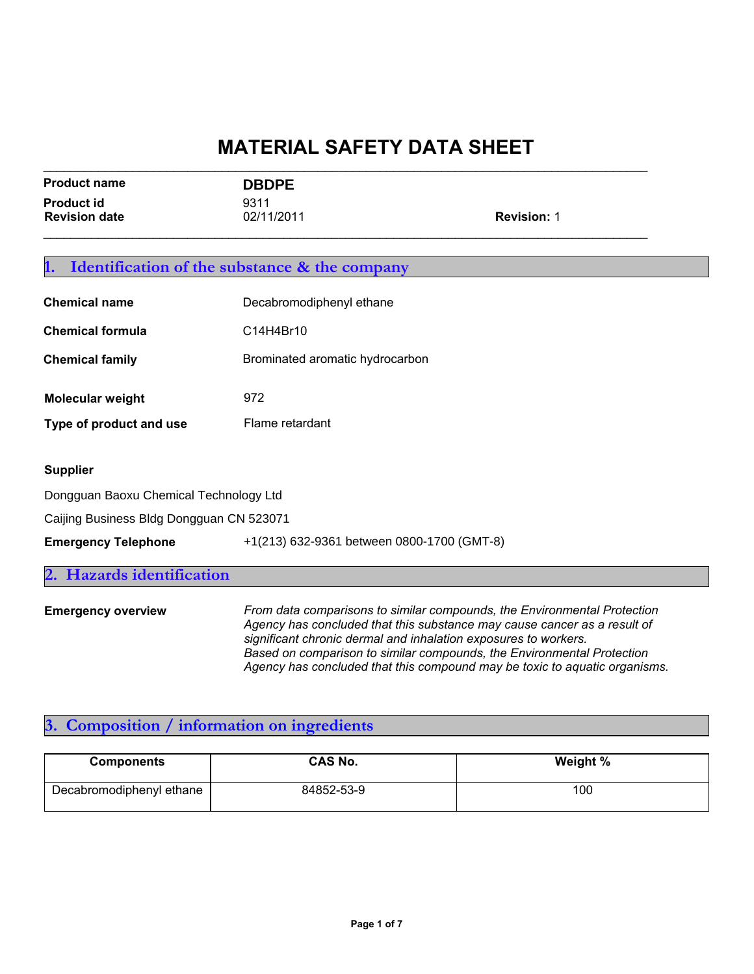| <b>Product name</b>                       | <b>DBDPE</b>       |                    |
|-------------------------------------------|--------------------|--------------------|
| <b>Product id</b><br><b>Revision date</b> | 9311<br>02/11/2011 | <b>Revision: 1</b> |
|                                           |                    |                    |

 $\mathcal{L}_\text{G} = \{ \mathcal{L}_\text{G} = \{ \mathcal{L}_\text{G} = \{ \mathcal{L}_\text{G} = \{ \mathcal{L}_\text{G} = \{ \mathcal{L}_\text{G} = \{ \mathcal{L}_\text{G} = \{ \mathcal{L}_\text{G} = \{ \mathcal{L}_\text{G} = \{ \mathcal{L}_\text{G} = \{ \mathcal{L}_\text{G} = \{ \mathcal{L}_\text{G} = \{ \mathcal{L}_\text{G} = \{ \mathcal{L}_\text{G} = \{ \mathcal{L}_\text{G} = \{ \mathcal{L}_\text{G$ 

| <b>Identification of the substance &amp; the company</b> |                                                                                                                                                                                                                         |  |
|----------------------------------------------------------|-------------------------------------------------------------------------------------------------------------------------------------------------------------------------------------------------------------------------|--|
| <b>Chemical name</b>                                     | Decabromodiphenyl ethane                                                                                                                                                                                                |  |
| <b>Chemical formula</b>                                  | C14H4Br10                                                                                                                                                                                                               |  |
| <b>Chemical family</b>                                   | Brominated aromatic hydrocarbon                                                                                                                                                                                         |  |
| Molecular weight                                         | 972                                                                                                                                                                                                                     |  |
| Type of product and use                                  | Flame retardant                                                                                                                                                                                                         |  |
| <b>Supplier</b>                                          |                                                                                                                                                                                                                         |  |
| Dongguan Baoxu Chemical Technology Ltd                   |                                                                                                                                                                                                                         |  |
| Caijing Business Bldg Dongguan CN 523071                 |                                                                                                                                                                                                                         |  |
| <b>Emergency Telephone</b>                               | +1(213) 632-9361 between 0800-1700 (GMT-8)                                                                                                                                                                              |  |
| Hazards identification                                   |                                                                                                                                                                                                                         |  |
| <b>Emergency overview</b>                                | From data comparisons to similar compounds, the Environmental Protection<br>Agency has concluded that this substance may cause cancer as a result of<br>significant chronic dermal and inhalation exposures to workers. |  |

*Based on comparison to similar compounds, the Environmental Protection Agency has concluded that this compound may be toxic to aquatic organisms.*

#### **3. Composition / information on ingredients**

| <b>Components</b>        | <b>CAS No.</b> | Weight % |
|--------------------------|----------------|----------|
| Decabromodiphenyl ethane | 84852-53-9     | 100      |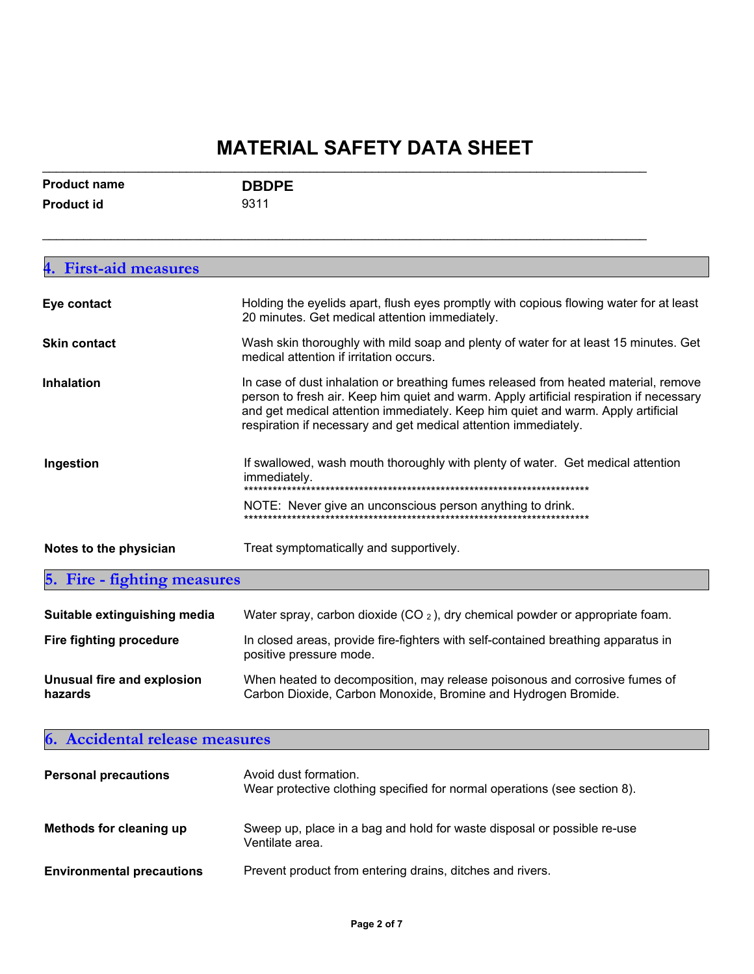| <b>Product name</b> | <b>DBDPE</b> |  |
|---------------------|--------------|--|
| Product id          | 9311         |  |

 $\mathcal{L}_\text{max}$  , and the contribution of the contribution of the contribution of the contribution of the contribution of the contribution of the contribution of the contribution of the contribution of the contribution of t

| <b>First-aid measures</b><br>4.              |                                                                                                                                                                                                                                                                                                                                       |  |
|----------------------------------------------|---------------------------------------------------------------------------------------------------------------------------------------------------------------------------------------------------------------------------------------------------------------------------------------------------------------------------------------|--|
| Eye contact                                  | Holding the eyelids apart, flush eyes promptly with copious flowing water for at least<br>20 minutes. Get medical attention immediately.                                                                                                                                                                                              |  |
| <b>Skin contact</b>                          | Wash skin thoroughly with mild soap and plenty of water for at least 15 minutes. Get<br>medical attention if irritation occurs.                                                                                                                                                                                                       |  |
| <b>Inhalation</b>                            | In case of dust inhalation or breathing fumes released from heated material, remove<br>person to fresh air. Keep him quiet and warm. Apply artificial respiration if necessary<br>and get medical attention immediately. Keep him quiet and warm. Apply artificial<br>respiration if necessary and get medical attention immediately. |  |
| Ingestion                                    | If swallowed, wash mouth thoroughly with plenty of water. Get medical attention<br>immediately.                                                                                                                                                                                                                                       |  |
|                                              | NOTE: Never give an unconscious person anything to drink.                                                                                                                                                                                                                                                                             |  |
| Notes to the physician                       | Treat symptomatically and supportively.                                                                                                                                                                                                                                                                                               |  |
| 5. Fire - fighting measures                  |                                                                                                                                                                                                                                                                                                                                       |  |
| Suitable extinguishing media                 | Water spray, carbon dioxide (CO $_2$ ), dry chemical powder or appropriate foam.                                                                                                                                                                                                                                                      |  |
| <b>Fire fighting procedure</b>               | In closed areas, provide fire-fighters with self-contained breathing apparatus in<br>positive pressure mode.                                                                                                                                                                                                                          |  |
| <b>Unusual fire and explosion</b><br>hazards | When heated to decomposition, may release poisonous and corrosive fumes of<br>Carbon Dioxide, Carbon Monoxide, Bromine and Hydrogen Bromide.                                                                                                                                                                                          |  |

#### **6. Accidental release measures**

| <b>Personal precautions</b>      | Avoid dust formation.<br>Wear protective clothing specified for normal operations (see section 8). |
|----------------------------------|----------------------------------------------------------------------------------------------------|
| Methods for cleaning up          | Sweep up, place in a bag and hold for waste disposal or possible re-use<br>Ventilate area.         |
| <b>Environmental precautions</b> | Prevent product from entering drains, ditches and rivers.                                          |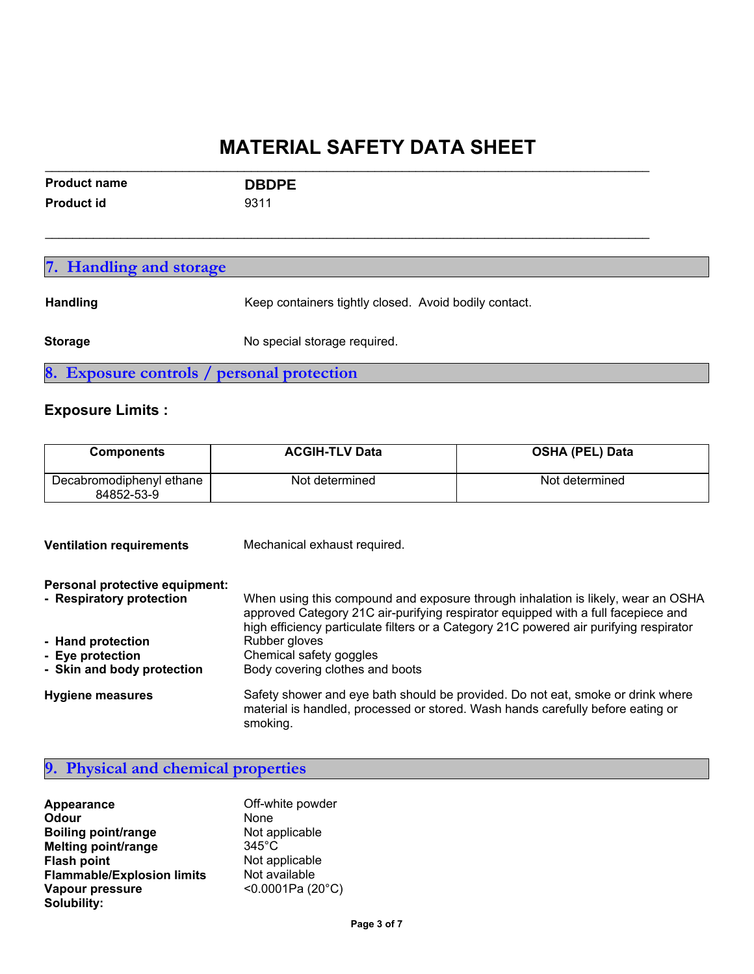| <b>Product name</b> | <b>DBDPE</b> |  |
|---------------------|--------------|--|
| <b>Product id</b>   | 9311         |  |

| 7. Handling and storage                    |                                                       |  |
|--------------------------------------------|-------------------------------------------------------|--|
| <b>Handling</b>                            | Keep containers tightly closed. Avoid bodily contact. |  |
| <b>Storage</b>                             | No special storage required.                          |  |
| 8. Exposure controls / personal protection |                                                       |  |

 $\mathcal{L}_\text{max}$  , and the contribution of the contribution of the contribution of the contribution of the contribution of the contribution of the contribution of the contribution of the contribution of the contribution of t

#### **Exposure Limits :**

| <b>Components</b>                      | <b>ACGIH-TLV Data</b> | <b>OSHA (PEL) Data</b> |
|----------------------------------------|-----------------------|------------------------|
| Decabromodiphenyl ethane<br>84852-53-9 | Not determined        | Not determined         |

| <b>Ventilation requirements</b>                            | Mechanical exhaust required.                                                                                                                                                   |  |
|------------------------------------------------------------|--------------------------------------------------------------------------------------------------------------------------------------------------------------------------------|--|
| Personal protective equipment:<br>- Respiratory protection | When using this compound and exposure through inhalation is likely, wear an OSHA                                                                                               |  |
|                                                            | approved Category 21C air-purifying respirator equipped with a full facepiece and<br>high efficiency particulate filters or a Category 21C powered air purifying respirator    |  |
| - Hand protection                                          | Rubber gloves                                                                                                                                                                  |  |
| - Eye protection                                           | Chemical safety goggles                                                                                                                                                        |  |
| - Skin and body protection                                 | Body covering clothes and boots                                                                                                                                                |  |
| <b>Hygiene measures</b>                                    | Safety shower and eye bath should be provided. Do not eat, smoke or drink where<br>material is handled, processed or stored. Wash hands carefully before eating or<br>smoking. |  |

|  |  |  |  |  | 9. Physical and chemical properties |
|--|--|--|--|--|-------------------------------------|
|--|--|--|--|--|-------------------------------------|

| Appearance                        | Off-white powder   |
|-----------------------------------|--------------------|
| Odour                             | None               |
| <b>Boiling point/range</b>        | Not applicable     |
| Melting point/range               | $345^{\circ}$ C    |
| <b>Flash point</b>                | Not applicable     |
| <b>Flammable/Explosion limits</b> | Not available      |
| Vapour pressure                   | < 0.0001 Pa (20°C) |
| Solubility:                       |                    |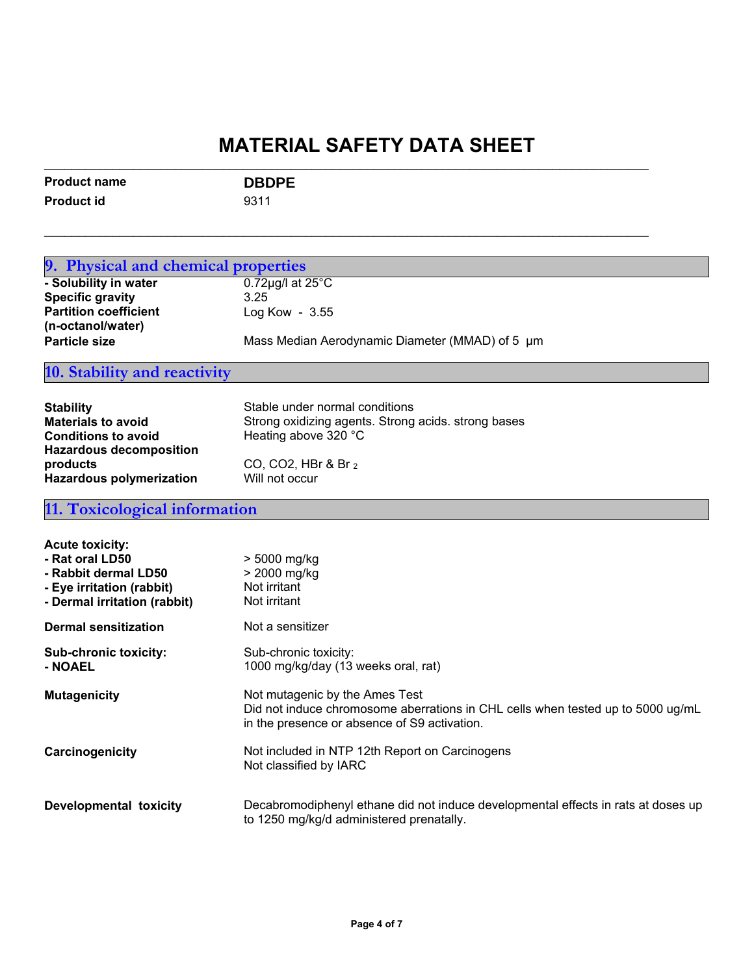| <b>Product name</b> | <b>DBDPE</b> |
|---------------------|--------------|
| Product id          | 9311         |

 $\mathcal{L}_\text{max}$  , and the contribution of the contribution of the contribution of the contribution of the contribution of the contribution of the contribution of the contribution of the contribution of the contribution of t

| 9. Physical and chemical properties |                                                                                   |  |
|-------------------------------------|-----------------------------------------------------------------------------------|--|
|                                     |                                                                                   |  |
| - Solubility in water               | $0.72$ µg/l at 25 $^{\circ}$ C                                                    |  |
| <b>Specific gravity</b>             | 3.25                                                                              |  |
| <b>Partition coefficient</b>        | Log Kow - 3.55                                                                    |  |
| (n-octanol/water)                   |                                                                                   |  |
| <b>Particle size</b>                | Mass Median Aerodynamic Diameter (MMAD) of 5 µm                                   |  |
| 10. Stability and reactivity        |                                                                                   |  |
|                                     |                                                                                   |  |
| <b>Stability</b>                    | Stable under normal conditions                                                    |  |
| <b>Materials to avoid</b>           | Strong oxidizing agents. Strong acids. strong bases                               |  |
| <b>Conditions to avoid</b>          | Heating above 320 °C                                                              |  |
| <b>Hazardous decomposition</b>      |                                                                                   |  |
| products                            | CO, CO2, HBr & Br 2                                                               |  |
| <b>Hazardous polymerization</b>     | Will not occur                                                                    |  |
| 11. Toxicological information       |                                                                                   |  |
|                                     |                                                                                   |  |
| <b>Acute toxicity:</b>              |                                                                                   |  |
| - Rat oral LD50                     | > 5000 mg/kg                                                                      |  |
| - Rabbit dermal LD50                | > 2000 mg/kg                                                                      |  |
| - Eye irritation (rabbit)           | Not irritant                                                                      |  |
| - Dermal irritation (rabbit)        | Not irritant                                                                      |  |
| <b>Dermal sensitization</b>         | Not a sensitizer                                                                  |  |
| Sub-chronic toxicity:               | Sub-chronic toxicity:                                                             |  |
| - NOAEL                             | 1000 mg/kg/day (13 weeks oral, rat)                                               |  |
|                                     |                                                                                   |  |
| <b>Mutagenicity</b>                 | Not mutagenic by the Ames Test                                                    |  |
|                                     | Did not induce chromosome aberrations in CHL cells when tested up to 5000 ug/mL   |  |
|                                     | in the presence or absence of S9 activation.                                      |  |
| Carcinogenicity                     | Not included in NTP 12th Report on Carcinogens                                    |  |
|                                     | Not classified by IARC                                                            |  |
|                                     |                                                                                   |  |
| <b>Developmental toxicity</b>       | Decabromodiphenyl ethane did not induce developmental effects in rats at doses up |  |
|                                     | to 1250 mg/kg/d administered prenatally.                                          |  |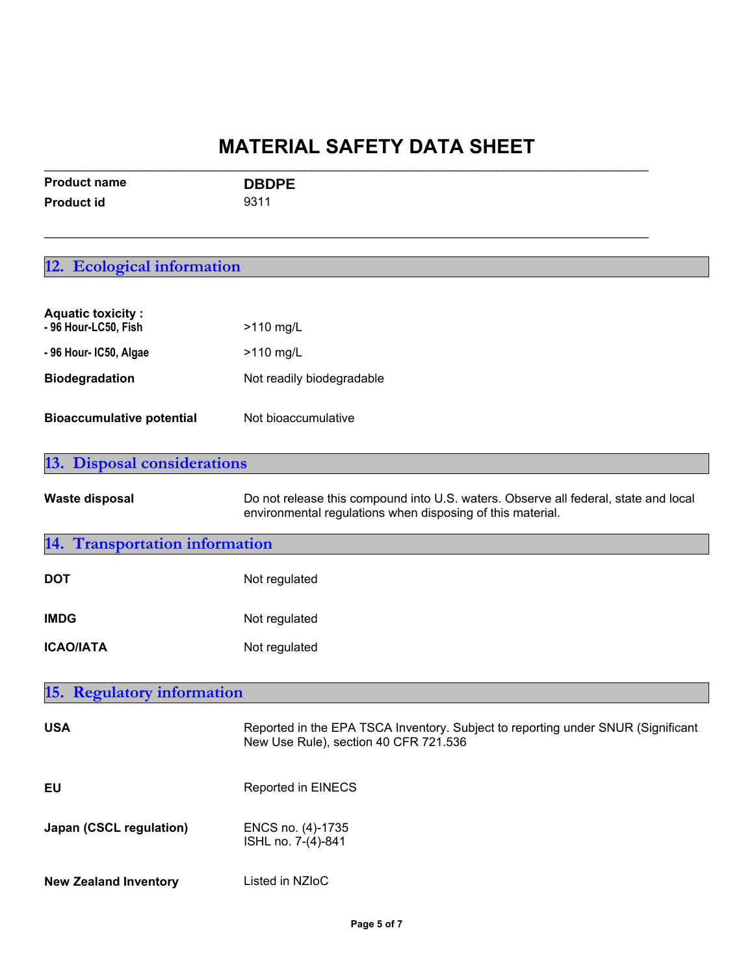| <b>Product name</b> | <b>DBDPE</b> |  |
|---------------------|--------------|--|
| Product id          | 9311         |  |

 $\mathcal{L}_\text{max}$  , and the contribution of the contribution of the contribution of the contribution of the contribution of the contribution of the contribution of the contribution of the contribution of the contribution of t

### **12. Ecological information**

| <b>Aquatic toxicity:</b><br>- 96 Hour-LC50, Fish | $>110$ mg/L               |
|--------------------------------------------------|---------------------------|
| - 96 Hour- IC50, Algae                           | $>110$ mg/L               |
| <b>Biodegradation</b>                            | Not readily biodegradable |
| <b>Bioaccumulative potential</b>                 | Not bioaccumulative       |

| <b>13. Disposal considerations</b>   |                                                                                                                                                   |  |
|--------------------------------------|---------------------------------------------------------------------------------------------------------------------------------------------------|--|
| <b>Waste disposal</b>                | Do not release this compound into U.S. waters. Observe all federal, state and local<br>environmental regulations when disposing of this material. |  |
| <b>Transportation information</b>    |                                                                                                                                                   |  |
| <b>DOT</b>                           | Not regulated                                                                                                                                     |  |
| <b>IMDG</b>                          | Not regulated                                                                                                                                     |  |
| <b>ICAO/IATA</b>                     | Not regulated                                                                                                                                     |  |
|                                      |                                                                                                                                                   |  |
| <b>Regulatory information</b><br>15. |                                                                                                                                                   |  |
| <b>USA</b>                           | Reported in the EPA TSCA Inventory. Subject to reporting under SNUR (Significant<br>New Use Rule), section 40 CFR 721.536                         |  |
| EU                                   | Reported in EINECS                                                                                                                                |  |

| Japan (CSCL regulation) | ENCS no. (4)-1735  |
|-------------------------|--------------------|
|                         | ISHL no. 7-(4)-841 |

**New Zealand Inventory** Listed in NZIoC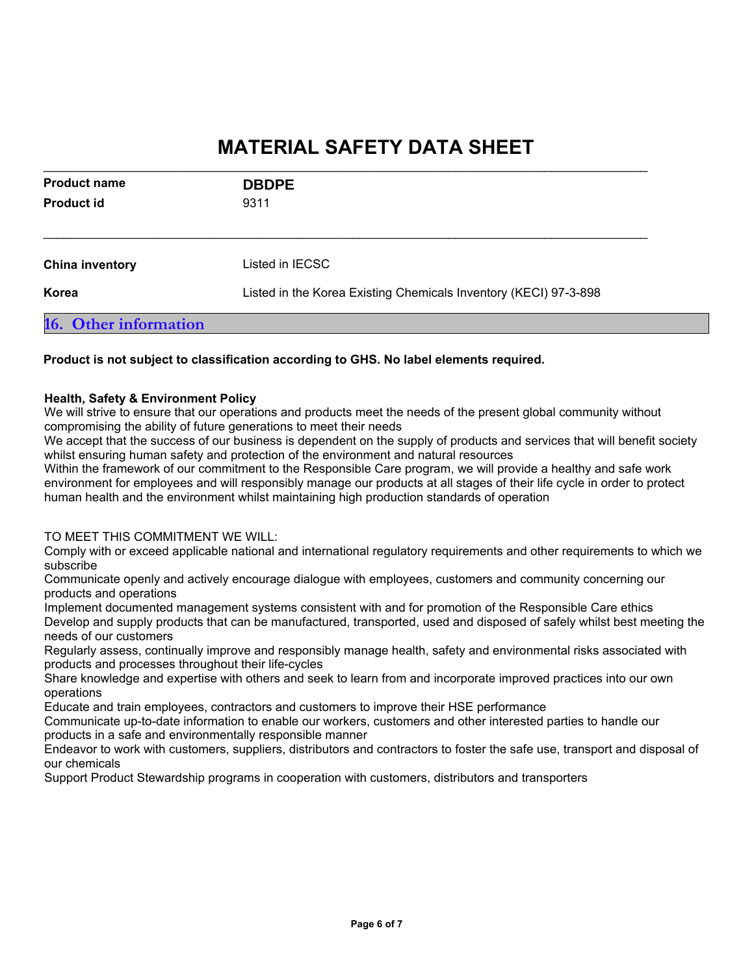| 9311                                                             |  |
|------------------------------------------------------------------|--|
| Listed in IECSC                                                  |  |
| Listed in the Korea Existing Chemicals Inventory (KECI) 97-3-898 |  |
|                                                                  |  |

#### **Product is not subject to classification according to GHS. No label elements required.**

#### **Health, Safety & Environment Policy**

We will strive to ensure that our operations and products meet the needs of the present global community without compromising the ability of future generations to meet their needs

We accept that the success of our business is dependent on the supply of products and services that will benefit society whilst ensuring human safety and protection of the environment and natural resources

Within the framework of our commitment to the Responsible Care program, we will provide a healthy and safe work environment for employees and will responsibly manage our products at all stages of their life cycle in order to protect human health and the environment whilst maintaining high production standards of operation

#### TO MEET THIS COMMITMENT WE WILL:

Comply with or exceed applicable national and international regulatory requirements and other requirements to which we subscribe

Communicate openly and actively encourage dialogue with employees, customers and community concerning our products and operations

Implement documented management systems consistent with and for promotion of the Responsible Care ethics Develop and supply products that can be manufactured, transported, used and disposed of safely whilst best meeting the needs of our customers

Regularly assess, continually improve and responsibly manage health, safety and environmental risks associated with products and processes throughout their life-cycles

Share knowledge and expertise with others and seek to learn from and incorporate improved practices into our own operations

Educate and train employees, contractors and customers to improve their HSE performance

Communicate up-to-date information to enable our workers, customers and other interested parties to handle our products in a safe and environmentally responsible manner

Endeavor to work with customers, suppliers, distributors and contractors to foster the safe use, transport and disposal of our chemicals

Support Product Stewardship programs in cooperation with customers, distributors and transporters